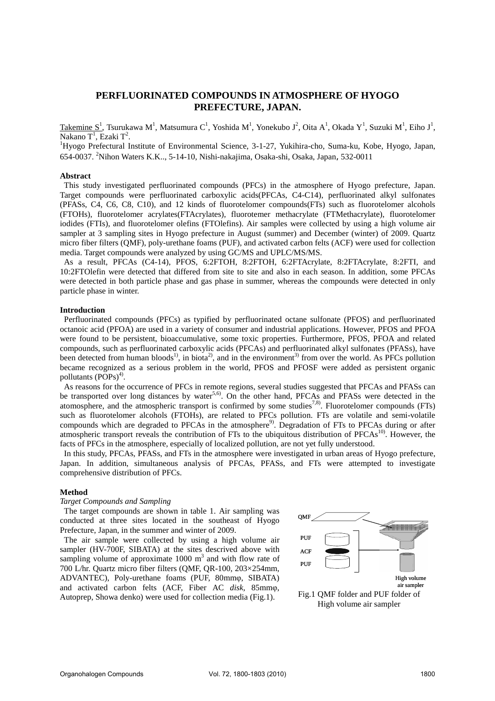# **PERFLUORINATED COMPOUNDS IN ATMOSPHERE OF HYOGO PREFECTURE, JAPAN.**

Takemine  $S^1$ , Tsurukawa M $^1$ , Matsumura C $^1$ , Yoshida M $^1$ , Yonekubo J $^2$ , Oita A $^1$ , Okada Y $^1$ , Suzuki M $^1$ , Eiho J $^1$ , Nakano  $T^1$ , Ezaki  $T^2$ .

Hyogo Prefectural Institute of Environmental Science, 3-1-27, Yukihira-cho, Suma-ku, Kobe, Hyogo, Japan, 654-0037. <sup>2</sup> Nihon Waters K.K.., 5-14-10, Nishi-nakajima, Osaka-shi, Osaka, Japan, 532-0011

### **Abstract**

 This study investigated perfluorinated compounds (PFCs) in the atmosphere of Hyogo prefecture, Japan. Target compounds were perfluorinated carboxylic acids(PFCAs, C4-C14), perfluorinated alkyl sulfonates (PFASs, C4, C6, C8, C10), and 12 kinds of fluorotelomer compounds(FTs) such as fluorotelomer alcohols (FTOHs), fluorotelomer acrylates(FTAcrylates), fluorotemer methacrylate (FTMethacrylate), fluorotelomer iodides (FTIs), and fluorotelomer olefins (FTOlefins). Air samples were collected by using a high volume air sampler at 3 sampling sites in Hyogo prefecture in August (summer) and December (winter) of 2009. Quartz micro fiber filters (QMF), poly-urethane foams (PUF), and activated carbon felts (ACF) were used for collection media. Target compounds were analyzed by using GC/MS and UPLC/MS/MS.

 As a result, PFCAs (C4-14), PFOS, 6:2FTOH, 8:2FTOH, 6:2FTAcrylate, 8:2FTAcrylate, 8:2FTI, and 10:2FTOlefin were detected that differed from site to site and also in each season. In addition, some PFCAs were detected in both particle phase and gas phase in summer, whereas the compounds were detected in only particle phase in winter.

### **Introduction**

Perfluorinated compounds (PFCs) as typified by perfluorinated octane sulfonate (PFOS) and perfluorinated octanoic acid (PFOA) are used in a variety of consumer and industrial applications. However, PFOS and PFOA were found to be persistent, bioaccumulative, some toxic properties. Furthermore, PFOS, PFOA and related compounds, such as perfluorinated carboxylic acids (PFCAs) and perfluorinated alkyl sulfonates (PFASs), have been detected from human bloods<sup>1)</sup>, in biota<sup>2</sup>, and in the environment<sup>3)</sup> from over the world. As PFCs pollution became recognized as a serious problem in the world, PFOS and PFOSF were added as persistent organic pollutants  $(POPs)^4$ .

As reasons for the occurrence of PFCs in remote regions, several studies suggested that PFCAs and PFASs can be transported over long distances by water<sup>5,6)</sup>. On the other hand, PFCAs and PFASs were detected in the atomosphere, and the atmospheric transport is confirmed by some studies<sup>7,8)</sup>. Fluorotelomer compounds (FTs) such as fluorotelomer alcohols (FTOHs), are related to PFCs pollution. FTs are volatile and semi-volatile compounds which are degraded to PFCAs in the atmosphere<sup>9</sup>. Degradation of FTs to PFCAs during or after atmospheric transport reveals the contribution of FTs to the ubiquitous distribution of PFCAs<sup>10)</sup>. However, the facts of PFCs in the atmosphere, especially of localized pollution, are not yet fully understood.

In this study, PFCAs, PFASs, and FTs in the atmosphere were investigated in urban areas of Hyogo prefecture, Japan. In addition, simultaneous analysis of PFCAs, PFASs, and FTs were attempted to investigate comprehensive distribution of PFCs.

#### **Method**

#### *Target Compounds and Sampling*

The target compounds are shown in table 1. Air sampling was conducted at three sites located in the southeast of Hyogo Prefecture, Japan, in the summer and winter of 2009.

The air sample were collected by using a high volume air sampler (HV-700F, SIBATA) at the sites descrived above with sampling volume of approximate  $1000 \text{ m}^3$  and with flow rate of 700 L/hr. Quartz micro fiber filters (QMF, QR-100, 203×254mm, ADVANTEC), Poly-urethane foams (PUF, 80mmo, SIBATA) and activated carbon felts (ACF, Fiber AC *disk*, 85mm<sub>0</sub>, Autoprep, Showa denko) were used for collection media (Fig.1).

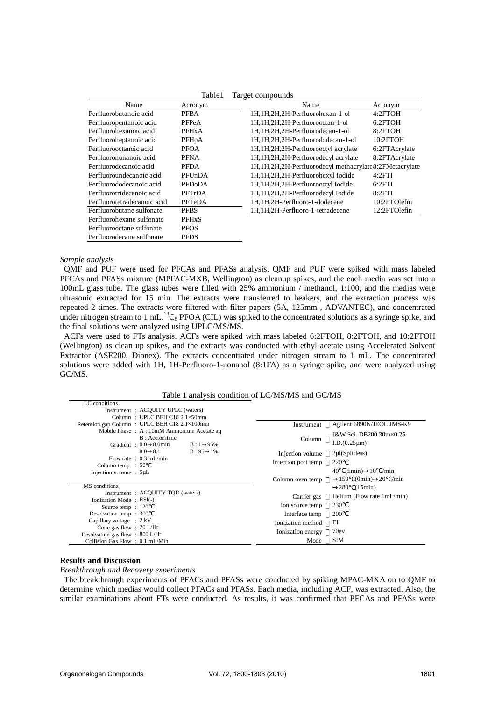| Table I<br>Target compounds |                    |                                                            |               |  |
|-----------------------------|--------------------|------------------------------------------------------------|---------------|--|
| Name                        | Acronym            | Name                                                       | Acronym       |  |
| Perfluorobutanoic acid      | <b>PFBA</b>        | 1H,1H,2H,2H-Perfluorohexan-1-ol                            | 4:2FTOH       |  |
| Perfluoropentanoic acid     | PFPeA              | 1H.1H.2H.2H-Perfluorooctan-1-ol                            | 6:2FTOH       |  |
| Perfluorohexanoic acid      | <b>PFHxA</b>       | 1H, 1H, 2H, 2H-Perfluorodecan-1-ol                         | 8:2FTOH       |  |
| Perfluoroheptanoic acid     | PFH <sub>p</sub> A | 1H, 1H, 2H, 2H-Perfluorododecan-1-ol                       | 10:2FTOH      |  |
| Perfluorooctanoic acid      | <b>PFOA</b>        | 1H, 1H, 2H, 2H-Perfluorooctyl acrylate                     | 6:2FTAcrylate |  |
| Perfluorononanoic acid      | <b>PFNA</b>        | 1H, 1H, 2H, 2H-Perfluorodecyl acrylate                     | 8:2FTAcrylate |  |
| Perfluorodecanoic acid      | <b>PFDA</b>        | 1H, 1H, 2H, 2H-Perfluorodecyl methacrylate 8:2FMetacrylate |               |  |
| Perfluoroundecanoic acid    | PFUnDA             | 1H, 1H, 2H, 2H-Perfluorohexyl Iodide                       | 4:2FTI        |  |
| Perfluorododecanoic acid    | <b>PFDoDA</b>      | 1H, 1H, 2H, 2H-Perfluorooctyl Iodide                       | 6:2FTI        |  |
| Perfluorotridecanoic acid   | PFTrDA             | 1H, 1H, 2H, 2H-Perfluorodecyl Iodide                       | 8:2FTI        |  |
| Perfluorotetradecanoic acid | PFTeDA             | 1H, 1H, 2H-Perfluoro-1-dodecene                            | 10:2FTOlefin  |  |
| Perfluorobutane sulfonate   | <b>PFBS</b>        | 1H, 1H, 2H-Perfluoro-1-tetradecene                         | 12:2FTOlefin  |  |
| Perfluorohexane sulfonate   | <b>PFHxS</b>       |                                                            |               |  |
| Perfluorooctane sulfonate   | <b>PFOS</b>        |                                                            |               |  |
| Perfluorodecane sulfonate   | <b>PFDS</b>        |                                                            |               |  |

# $T = T \cdot T$

# *Sample analysis*

QMF and PUF were used for PFCAs and PFASs analysis. QMF and PUF were spiked with mass labeled PFCAs and PFASs mixture (MPFAC-MXB, Wellington) as cleanup spikes, and the each media was set into a 100mL glass tube. The glass tubes were filled with 25% ammonium / methanol, 1:100, and the medias were ultrasonic extracted for 15 min. The extracts were transferred to beakers, and the extraction process was repeated 2 times. The extracts were filtered with filter papers (5A, 125mm , ADVANTEC), and concentrated under nitrogen stream to 1 mL.<sup>13</sup>C<sub>8</sub> PFOA (CIL) was spiked to the concentrated solutions as a syringe spike, and the final solutions were analyzed using UPLC/MS/MS.

ACFs were used to FTs analysis. ACFs were spiked with mass labeled 6:2FTOH, 8:2FTOH, and 10:2FTOH (Wellington) as clean up spikes, and the extracts was conducted with ethyl acetate using Accelerated Solvent Extractor (ASE200, Dionex). The extracts concentrated under nitrogen stream to 1 mL. The concentrated solutions were added with 1H, 1H-Perfluoro-1-nonanol (8:1FA) as a syringe spike, and were analyzed using GC/MS.

#### Table 1 analysis condition of LC/MS/MS and GC/MS

| Instrument: ACQUITY UPLC (waters)             |                     |                                  |
|-----------------------------------------------|---------------------|----------------------------------|
| Column: UPLC BEH C18 $2.1 \times 50$ mm       |                     |                                  |
| Retention gap Column : UPLC BEH C18 2.1×100mm | Instrument          | Agilent 6890N/JEOL JMS-K9        |
| Mobile Phase: A: 10mM Ammonium Acetate ag     | Column              | J&W Sci. DB200 30m×0.25          |
| B: Acetonitrile                               |                     |                                  |
| Gradient: 0.0 8.0min<br>$B:1$ 95%             |                     | $I.D.(0.25 \mu m)$               |
| $B: 95 \quad 1\%$<br>8.0 8.1                  | Injection volume    | $2\mu$ l(Splitless)              |
| Flow rate : $0.3$ mL/min                      | Injection port temp | 220                              |
| Column temp. $: 50$                           |                     | $(5\text{min})$ 10<br>40<br>/min |
| Injection volume : $5\mu L$                   |                     |                                  |
|                                               | Column oven temp    | 150<br>-20<br>(0min)<br>/min     |
| MS conditions                                 |                     | (15min)<br>280                   |
| Instrument: ACQUITY TQD (waters)              | Carrier gas         | Helium (Flow rate 1mL/min)       |
| Ionization Mode: ESI(-)                       | Ion source temp     | 230                              |
| Source temp: 120                              |                     |                                  |
| Desolvation temp: 300                         | Interface temp      | 200                              |
| Capillary voltage : $2$ kV                    | Ionization method   | ЕI                               |
| Cone gas flow : $20 L/Hi$                     | Ionization energy   | 70ev                             |
| Desolvation gas flow $\div 800$ L/Hr          | Mode                | <b>SIM</b>                       |
| Collision Gas Flow: 0.1 mL/Min                |                     |                                  |

## **Results and Discussion**

 $LC$  conditions

*Breakthrough and Recovery experiments* 

The breakthrough experiments of PFACs and PFASs were conducted by spiking MPAC-MXA on to QMF to determine which medias would collect PFACs and PFASs. Each media, including ACF, was extracted. Also, the similar examinations about FTs were conducted. As results, it was confirmed that PFCAs and PFASs were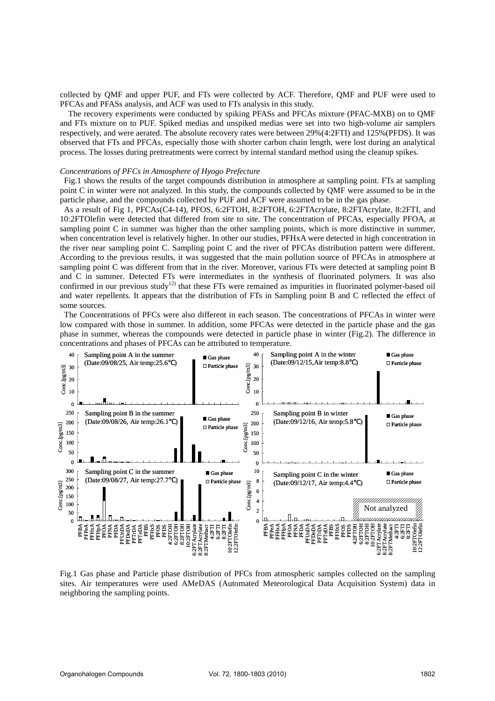collected by QMF and upper PUF, and FTs were collected by ACF. Therefore, QMF and PUF were used to PFCAs and PFASs analysis, and ACF was used to FTs analysis in this study.

The recovery experiments were conducted by spiking PFASs and PFCAs mixture (PFAC-MXB) on to QMF and FTs mixture on to PUF. Spiked medias and unspiked medias were set into two high-volume air samplers respectively, and were aerated. The absolute recovery rates were between 29%(4:2FTI) and 125%(PFDS). It was observed that FTs and PFCAs, especially those with shorter carbon chain length, were lost during an analytical process. The losses during pretreatments were correct by internal standard method using the cleanup spikes.

# *Concentrations of PFCs in Atmosphere of Hyogo Prefecture*

Fig.1 shows the results of the target compounds distribution in atmosphere at sampling point. FTs at sampling point C in winter were not analyzed. In this study, the compounds collected by QMF were assumed to be in the particle phase, and the compounds collected by PUF and ACF were assumed to be in the gas phase.

 As a result of Fig 1, PFCAs(C4-14), PFOS, 6:2FTOH, 8:2FTOH, 6:2FTAcrylate, 8:2FTAcrylate, 8:2FTI, and 10:2FTOlefin were detected that differed from site to site. The concentration of PFCAs, especially PFOA, at sampling point C in summer was higher than the other sampling points, which is more distinctive in summer, when concentration level is relatively higher. In other our studies, PFHxA were detected in high concentration in the river near sampling point C. Sampling point C and the river of PFCAs distribution pattern were different. According to the previous results, it was suggested that the main pollution source of PFCAs in atmosphere at sampling point C was different from that in the river. Moreover, various FTs were detected at sampling point B and C in summer. Detected FTs were intermediates in the synthesis of fluorinated polymers. It was also confirmed in our previous study<sup>12)</sup> that these FTs were remained as impurities in fluorinated polymer-based oil and water repellents. It appears that the distribution of FTs in Sampling point B and C reflected the effect of some sources.

The Concentrations of PFCs were also different in each season. The concentrations of PFCAs in winter were low compared with those in summer. In addition, some PFCAs were detected in the particle phase and the gas phase in summer, whereas the compounds were detected in particle phase in winter (Fig.2). The difference in concentrations and phases of PFCAs can be attributed to temperature.



Fig.1 Gas phase and Particle phase distribution of PFCs from atmospheric samples collected on the sampling sites. Air temperatures were used AMeDAS (Automated Meteorological Data Acquisition System) data in neighboring the sampling points.